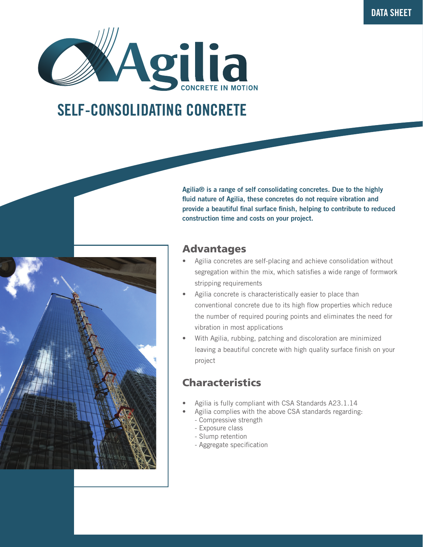

# SELF-CONSOLIDATING CONCRETE



Agilia® is a range of self consolidating concretes. Due to the highly fluid nature of Agilia, these concretes do not require vibration and provide a beautiful final surface finish, helping to contribute to reduced construction time and costs on your project.

### Advantages

- Agilia concretes are self-placing and achieve consolidation without segregation within the mix, which satisfies a wide range of formwork stripping requirements
- Agilia concrete is characteristically easier to place than conventional concrete due to its high flow properties which reduce the number of required pouring points and eliminates the need for vibration in most applications
- With Agilia, rubbing, patching and discoloration are minimized leaving a beautiful concrete with high quality surface finish on your project

# Characteristics

- Agilia is fully compliant with CSA Standards A23.1.14
	- Agilia complies with the above CSA standards regarding:
		- Compressive strength
		- Exposure class
		- Slump retention
		- Aggregate specification